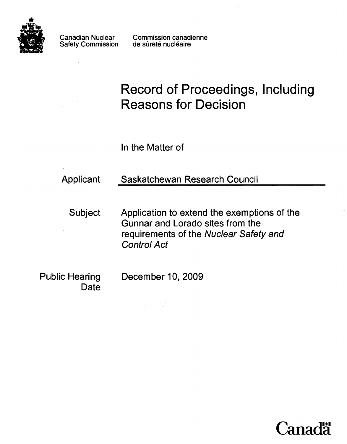

Safety Commission

Canadian Nuclear Commission canadienne<br>Safety Commission de sûreté nucléaire

# **Record of Proceedings, Including Reasons for Decision**

ln the Matter of

# Applicant Saskatchewan Research Council

Subject Application to extend the exemptions of the Gunnar and Lorado sites from the requirements of the Nuclear Safety and Control Act

Public Hearing **Date**  December 10, 2009

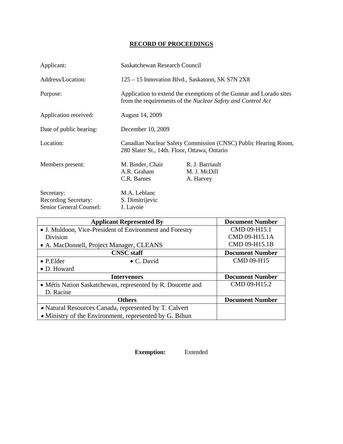### **RECORD OF PROCEEDINGS**

| Applicant:                                                           | Saskatchewan Research Council                                                                                                      |                                              |  |
|----------------------------------------------------------------------|------------------------------------------------------------------------------------------------------------------------------------|----------------------------------------------|--|
| Address/Location:                                                    | 125 – 15 Innovation Blvd., Saskatoon, SK S7N 2X8                                                                                   |                                              |  |
| Purpose:                                                             | Application to extend the exemptions of the Gunnar and Lorado sites<br>from the requirements of the Nuclear Safety and Control Act |                                              |  |
| Application received:                                                | August 14, 2009                                                                                                                    |                                              |  |
| Date of public hearing:                                              | December 10, 2009                                                                                                                  |                                              |  |
| Location:                                                            | Canadian Nuclear Safety Commission (CNSC) Public Hearing Room,<br>280 Slater St., 14th. Floor, Ottawa, Ontario                     |                                              |  |
| Members present:                                                     | M. Binder, Chair<br>A.R. Graham<br>C.R. Barnes                                                                                     | R. J. Barriault<br>M. J. McDill<br>A. Harvey |  |
| Secretary:<br><b>Recording Secretary:</b><br>Senior General Counsel: | M.A. Leblanc<br>S. Dimitrijevic<br>J. Lavoie                                                                                       |                                              |  |

| <b>Applicant Represented By</b>                             | <b>Document Number</b> |
|-------------------------------------------------------------|------------------------|
| • J. Muldoon, Vice-President of Environment and Forestry    | CMD 09-H15.1           |
| Division                                                    | CMD 09-H15.1A          |
| • A. MacDonnell, Project Manager, CLEANS                    | CMD 09-H15.1B          |
| <b>CNSC</b> staff                                           | <b>Document Number</b> |
| $\bullet$ P.Elder<br>$\bullet$ C. David                     | CMD 09-H15             |
| • D. Howard                                                 |                        |
| <b>Intervenors</b>                                          | <b>Document Number</b> |
| • Métis Nation Saskatchewan, represented by R. Doucette and | CMD 09-H15.2           |
| D. Racine                                                   |                        |
| <b>Others</b>                                               | <b>Document Number</b> |
| • Natural Resources Canada, represented by T. Calvert       |                        |
| • Ministry of the Environment, represented by G. Bihun      |                        |

 **Exemption:** Extended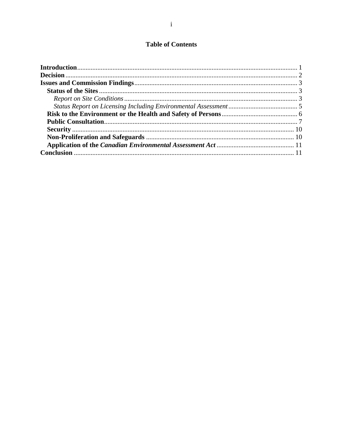## **Table of Contents**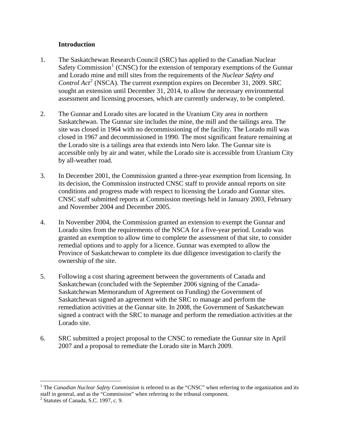#### **Introduction**

- <span id="page-3-0"></span>1. The Saskatchewan Research Council (SRC) has applied to the Canadian Nuclear Safety Commission<sup>[1](#page-3-1)</sup> (CNSC) for the extension of temporary exemptions of the Gunnar and Lorado mine and mill sites from the requirements of the *Nuclear Safety and Control Act*<sup>[2](#page-3-2)</sup> (NSCA). The current exemption expires on December 31, 2009. SRC sought an extension until December 31, 2014, to allow the necessary environmental assessment and licensing processes, which are currently underway, to be completed.
- 2. The Gunnar and Lorado sites are located in the Uranium City area in northern Saskatchewan. The Gunnar site includes the mine, the mill and the tailings area. The site was closed in 1964 with no decommissioning of the facility. The Lorado mill was closed in 1967 and decommissioned in 1990. The most significant feature remaining at the Lorado site is a tailings area that extends into Nero lake. The Gunnar site is accessible only by air and water, while the Lorado site is accessible from Uranium City by all-weather road.
- 3. In December 2001, the Commission granted a three-year exemption from licensing. In its decision, the Commission instructed CNSC staff to provide annual reports on site conditions and progress made with respect to licensing the Lorado and Gunnar sites. CNSC staff submitted reports at Commission meetings held in January 2003, February and November 2004 and December 2005.
- 4. In November 2004, the Commission granted an extension to exempt the Gunnar and Lorado sites from the requirements of the NSCA for a five-year period. Lorado was granted an exemption to allow time to complete the assessment of that site, to consider remedial options and to apply for a licence. Gunnar was exempted to allow the Province of Saskatchewan to complete its due diligence investigation to clarify the ownership of the site.
- 5. Following a cost sharing agreement between the governments of Canada and Saskatchewan (concluded with the September 2006 signing of the Canada-Saskatchewan Memorandum of Agreement on Funding) the Government of Saskatchewan signed an agreement with the SRC to manage and perform the remediation activities at the Gunnar site. In 2008, the Government of Saskatchewan signed a contract with the SRC to manage and perform the remediation activities at the Lorado site.
- 6. SRC submitted a project proposal to the CNSC to remediate the Gunnar site in April 2007 and a proposal to remediate the Lorado site in March 2009.

 $\overline{a}$ 

<span id="page-3-1"></span><sup>&</sup>lt;sup>1</sup> The *Canadian Nuclear Safety Commission* is referred to as the "CNSC" when referring to the organization and its staff in general, and as the "Commission" when referring to the tribunal component.

<span id="page-3-2"></span><sup>2</sup> Statutes of Canada, S.C. 1997, c. 9.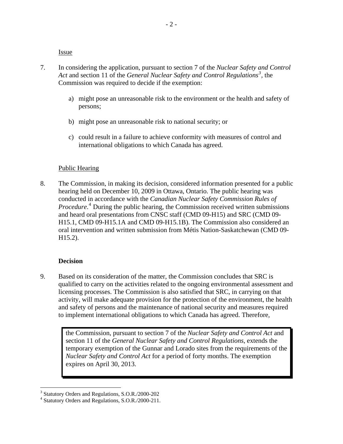Issue

- <span id="page-4-0"></span>7. In considering the application, pursuant to section 7 of the *Nuclear Safety and Control Act* and section 11 of the *General Nuclear Safety and Control Regulations[3](#page-4-1) ,* the Commission was required to decide if the exemption:
	- a) might pose an unreasonable risk to the environment or the health and safety of persons;
	- b) might pose an unreasonable risk to national security; or
	- c) could result in a failure to achieve conformity with measures of control and international obligations to which Canada has agreed.

#### Public Hearing

8. The Commission, in making its decision, considered information presented for a public hearing held on December 10, 2009 in Ottawa, Ontario. The public hearing was conducted in accordance with the *Canadian Nuclear Safety Commission Rules of Procedure*. [4](#page-4-2) During the public hearing, the Commission received written submissions and heard oral presentations from CNSC staff (CMD 09-H15) and SRC (CMD 09- H15.1, CMD 09-H15.1A and CMD 09-H15.1B). The Commission also considered an oral intervention and written submission from Métis Nation-Saskatchewan (CMD 09- H15.2).

#### **Decision**

9. Based on its consideration of the matter, the Commission concludes that SRC is qualified to carry on the activities related to the ongoing environmental assessment and licensing processes. The Commission is also satisfied that SRC, in carrying on that activity, will make adequate provision for the protection of the environment, the health and safety of persons and the maintenance of national security and measures required to implement international obligations to which Canada has agreed. Therefore,

> the Commission, pursuant to section 7 of the *Nuclear Safety and Control Act* and section 11 of the *General Nuclear Safety and Control Regulations*, extends the temporary exemption of the Gunnar and Lorado sites from the requirements of the *Nuclear Safety and Control Act* for a period of forty months. The exemption expires on April 30, 2013.

 3 Statutory Orders and Regulations, S.O.R./2000-202

<span id="page-4-2"></span><span id="page-4-1"></span><sup>4</sup> Statutory Orders and Regulations, S.O.R./2000-211.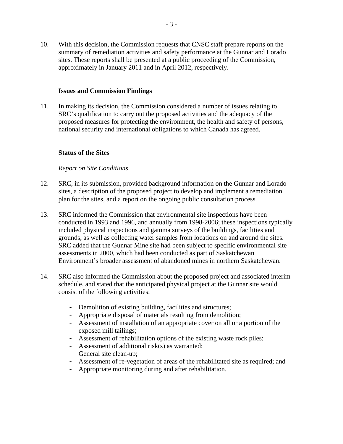<span id="page-5-0"></span>10. With this decision, the Commission requests that CNSC staff prepare reports on the summary of remediation activities and safety performance at the Gunnar and Lorado sites. These reports shall be presented at a public proceeding of the Commission, approximately in January 2011 and in April 2012, respectively.

#### **Issues and Commission Findings**

11. In making its decision, the Commission considered a number of issues relating to SRC's qualification to carry out the proposed activities and the adequacy of the proposed measures for protecting the environment, the health and safety of persons, national security and international obligations to which Canada has agreed.

#### **Status of the Sites**

#### *Report on Site Conditions*

- 12. SRC, in its submission, provided background information on the Gunnar and Lorado sites, a description of the proposed project to develop and implement a remediation plan for the sites, and a report on the ongoing public consultation process.
- 13. SRC informed the Commission that environmental site inspections have been conducted in 1993 and 1996, and annually from 1998-2006; these inspections typically included physical inspections and gamma surveys of the buildings, facilities and grounds, as well as collecting water samples from locations on and around the sites. SRC added that the Gunnar Mine site had been subject to specific environmental site assessments in 2000, which had been conducted as part of Saskatchewan Environment's broader assessment of abandoned mines in northern Saskatchewan.
- 14. SRC also informed the Commission about the proposed project and associated interim schedule, and stated that the anticipated physical project at the Gunnar site would consist of the following activities:
	- Demolition of existing building, facilities and structures;
	- Appropriate disposal of materials resulting from demolition;
	- Assessment of installation of an appropriate cover on all or a portion of the exposed mill tailings;
	- Assessment of rehabilitation options of the existing waste rock piles;
	- Assessment of additional risk(s) as warranted:
	- General site clean-up;
	- Assessment of re-vegetation of areas of the rehabilitated site as required; and
	- Appropriate monitoring during and after rehabilitation.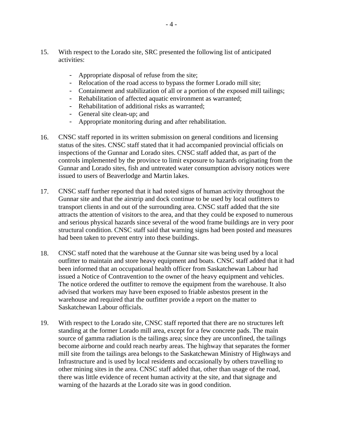- 15. With respect to the Lorado site, SRC presented the following list of anticipated activities:
	- Appropriate disposal of refuse from the site;
	- Relocation of the road access to bypass the former Lorado mill site;
	- Containment and stabilization of all or a portion of the exposed mill tailings;
	- Rehabilitation of affected aquatic environment as warranted;
	- Rehabilitation of additional risks as warranted;
	- General site clean-up; and
	- Appropriate monitoring during and after rehabilitation.
- 16. CNSC staff reported in its written submission on general conditions and licensing status of the sites. CNSC staff stated that it had accompanied provincial officials on inspections of the Gunnar and Lorado sites. CNSC staff added that, as part of the controls implemented by the province to limit exposure to hazards originating from the Gunnar and Lorado sites, fish and untreated water consumption advisory notices were issued to users of Beaverlodge and Martin lakes.
- 17. CNSC staff further reported that it had noted signs of human activity throughout the Gunnar site and that the airstrip and dock continue to be used by local outfitters to transport clients in and out of the surrounding area. CNSC staff added that the site attracts the attention of visitors to the area, and that they could be exposed to numerous and serious physical hazards since several of the wood frame buildings are in very poor structural condition. CNSC staff said that warning signs had been posted and measures had been taken to prevent entry into these buildings.
- 18. CNSC staff noted that the warehouse at the Gunnar site was being used by a local outfitter to maintain and store heavy equipment and boats. CNSC staff added that it had been informed that an occupational health officer from Saskatchewan Labour had issued a Notice of Contravention to the owner of the heavy equipment and vehicles. The notice ordered the outfitter to remove the equipment from the warehouse. It also advised that workers may have been exposed to friable asbestos present in the warehouse and required that the outfitter provide a report on the matter to Saskatchewan Labour officials.
- 19. With respect to the Lorado site, CNSC staff reported that there are no structures left standing at the former Lorado mill area, except for a few concrete pads. The main source of gamma radiation is the tailings area; since they are unconfined, the tailings become airborne and could reach nearby areas. The highway that separates the former mill site from the tailings area belongs to the Saskatchewan Ministry of Highways and Infrastructure and is used by local residents and occasionally by others travelling to other mining sites in the area. CNSC staff added that, other than usage of the road, there was little evidence of recent human activity at the site, and that signage and warning of the hazards at the Lorado site was in good condition.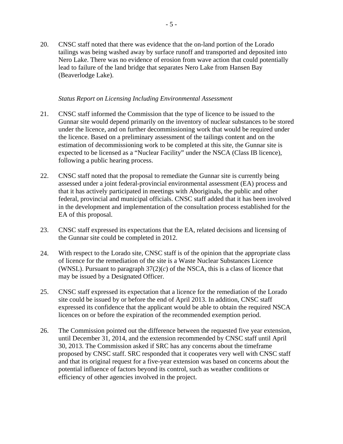<span id="page-7-0"></span>20. CNSC staff noted that there was evidence that the on-land portion of the Lorado tailings was being washed away by surface runoff and transported and deposited into Nero Lake. There was no evidence of erosion from wave action that could potentially lead to failure of the land bridge that separates Nero Lake from Hansen Bay (Beaverlodge Lake).

#### *Status Report on Licensing Including Environmental Assessment*

- 21. CNSC staff informed the Commission that the type of licence to be issued to the Gunnar site would depend primarily on the inventory of nuclear substances to be stored under the licence, and on further decommissioning work that would be required under the licence. Based on a preliminary assessment of the tailings content and on the estimation of decommissioning work to be completed at this site, the Gunnar site is expected to be licensed as a "Nuclear Facility" under the NSCA (Class IB licence), following a public hearing process.
- 22. CNSC staff noted that the proposal to remediate the Gunnar site is currently being assessed under a joint federal-provincial environmental assessment (EA) process and that it has actively participated in meetings with Aboriginals, the public and other federal, provincial and municipal officials. CNSC staff added that it has been involved in the development and implementation of the consultation process established for the EA of this proposal.
- 23. CNSC staff expressed its expectations that the EA, related decisions and licensing of the Gunnar site could be completed in 2012.
- 24. With respect to the Lorado site, CNSC staff is of the opinion that the appropriate class of licence for the remediation of the site is a Waste Nuclear Substances Licence (WNSL). Pursuant to paragraph  $37(2)(c)$  of the NSCA, this is a class of licence that may be issued by a Designated Officer.
- 25. CNSC staff expressed its expectation that a licence for the remediation of the Lorado site could be issued by or before the end of April 2013. In addition, CNSC staff expressed its confidence that the applicant would be able to obtain the required NSCA licences on or before the expiration of the recommended exemption period.
- 26. The Commission pointed out the difference between the requested five year extension, until December 31, 2014, and the extension recommended by CNSC staff until April 30, 2013. The Commission asked if SRC has any concerns about the timeframe proposed by CNSC staff. SRC responded that it cooperates very well with CNSC staff and that its original request for a five-year extension was based on concerns about the potential influence of factors beyond its control, such as weather conditions or efficiency of other agencies involved in the project.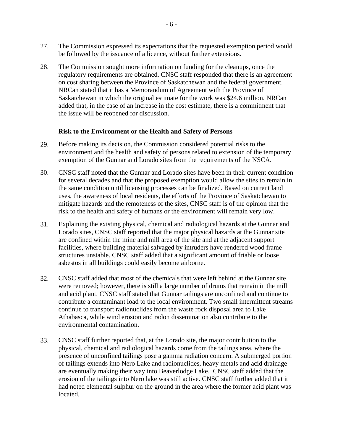- <span id="page-8-0"></span>27. The Commission expressed its expectations that the requested exemption period would be followed by the issuance of a licence, without further extensions.
- 28. The Commission sought more information on funding for the cleanups, once the regulatory requirements are obtained. CNSC staff responded that there is an agreement on cost sharing between the Province of Saskatchewan and the federal government. NRCan stated that it has a Memorandum of Agreement with the Province of Saskatchewan in which the original estimate for the work was \$24.6 million. NRCan added that, in the case of an increase in the cost estimate, there is a commitment that the issue will be reopened for discussion.

#### **Risk to the Environment or the Health and Safety of Persons**

- 29. Before making its decision, the Commission considered potential risks to the environment and the health and safety of persons related to extension of the temporary exemption of the Gunnar and Lorado sites from the requirements of the NSCA*.*
- 30. CNSC staff noted that the Gunnar and Lorado sites have been in their current condition for several decades and that the proposed exemption would allow the sites to remain in the same condition until licensing processes can be finalized. Based on current land uses, the awareness of local residents, the efforts of the Province of Saskatchewan to mitigate hazards and the remoteness of the sites, CNSC staff is of the opinion that the risk to the health and safety of humans or the environment will remain very low.
- 31. Explaining the existing physical, chemical and radiological hazards at the Gunnar and Lorado sites, CNSC staff reported that the major physical hazards at the Gunnar site are confined within the mine and mill area of the site and at the adjacent support facilities, where building material salvaged by intruders have rendered wood frame structures unstable. CNSC staff added that a significant amount of friable or loose asbestos in all buildings could easily become airborne.
- 32. CNSC staff added that most of the chemicals that were left behind at the Gunnar site were removed; however, there is still a large number of drums that remain in the mill and acid plant. CNSC staff stated that Gunnar tailings are unconfined and continue to contribute a contaminant load to the local environment. Two small intermittent streams continue to transport radionuclides from the waste rock disposal area to Lake Athabasca, while wind erosion and radon dissemination also contribute to the environmental contamination.
- 33. CNSC staff further reported that, at the Lorado site, the major contribution to the physical, chemical and radiological hazards come from the tailings area, where the presence of unconfined tailings pose a gamma radiation concern. A submerged portion of tailings extends into Nero Lake and radionuclides, heavy metals and acid drainage are eventually making their way into Beaverlodge Lake. CNSC staff added that the erosion of the tailings into Nero lake was still active. CNSC staff further added that it had noted elemental sulphur on the ground in the area where the former acid plant was located.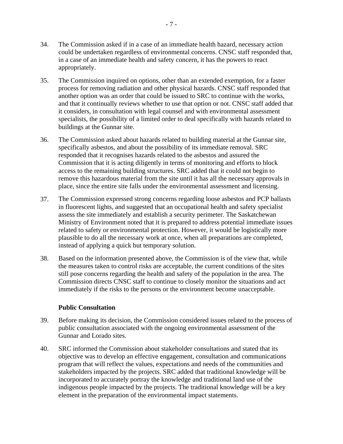- <span id="page-9-0"></span>34. The Commission asked if in a case of an immediate health hazard, necessary action could be undertaken regardless of environmental concerns. CNSC staff responded that, in a case of an immediate health and safety concern, it has the powers to react appropriately.
- 35. The Commission inquired on options, other than an extended exemption, for a faster process for removing radiation and other physical hazards. CNSC staff responded that another option was an order that could be issued to SRC to continue with the works, and that it continually reviews whether to use that option or not. CNSC staff added that it considers, in consultation with legal counsel and with environmental assessment specialists, the possibility of a limited order to deal specifically with hazards related to buildings at the Gunnar site.
- 36. The Commission asked about hazards related to building material at the Gunnar site, specifically asbestos, and about the possibility of its immediate removal. SRC responded that it recognises hazards related to the asbestos and assured the Commission that it is acting diligently in terms of monitoring and efforts to block access to the remaining building structures. SRC added that it could not begin to remove this hazardous material from the site until it has all the necessary approvals in place, since the entire site falls under the environmental assessment and licensing.
- 37. The Commission expressed strong concerns regarding loose asbestos and PCP ballasts in fluorescent lights, and suggested that an occupational health and safety specialist assess the site immediately and establish a security perimeter. The Saskatchewan Ministry of Environment noted that it is prepared to address potential immediate issues related to safety or environmental protection. However, it would be logistically more plausible to do all the necessary work at once, when all preparations are completed, instead of applying a quick but temporary solution.
- 38. Based on the information presented above, the Commission is of the view that, while the measures taken to control risks are acceptable, the current conditions of the sites still pose concerns regarding the health and safety of the population in the area. The Commission directs CNSC staff to continue to closely monitor the situations and act immediately if the risks to the persons or the environment become unacceptable.

#### **Public Consultation**

- 39. Before making its decision, the Commission considered issues related to the process of public consultation associated with the ongoing environmental assessment of the Gunnar and Lorado sites.
- 40. SRC informed the Commission about stakeholder consultations and stated that its objective was to develop an effective engagement, consultation and communications program that will reflect the values, expectations and needs of the communities and stakeholders impacted by the projects. SRC added that traditional knowledge will be incorporated to accurately portray the knowledge and traditional land use of the indigenous people impacted by the projects. The traditional knowledge will be a key element in the preparation of the environmental impact statements.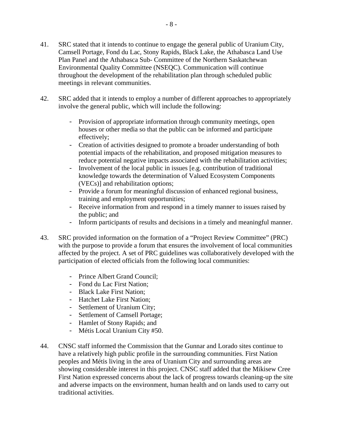- 41. SRC stated that it intends to continue to engage the general public of Uranium City, Camsell Portage, Fond du Lac, Stony Rapids, Black Lake, the Athabasca Land Use Plan Panel and the Athabasca Sub- Committee of the Northern Saskatchewan Environmental Quality Committee (NSEQC). Communication will continue throughout the development of the rehabilitation plan through scheduled public meetings in relevant communities.
- 42. SRC added that it intends to employ a number of different approaches to appropriately involve the general public, which will include the following:
	- Provision of appropriate information through community meetings, open houses or other media so that the public can be informed and participate effectively;
	- Creation of activities designed to promote a broader understanding of both potential impacts of the rehabilitation, and proposed mitigation measures to reduce potential negative impacts associated with the rehabilitation activities;
	- Involvement of the local public in issues [e.g. contribution of traditional knowledge towards the determination of Valued Ecosystem Components (VECs)] and rehabilitation options;
	- Provide a forum for meaningful discussion of enhanced regional business, training and employment opportunities;
	- Receive information from and respond in a timely manner to issues raised by the public; and
	- Inform participants of results and decisions in a timely and meaningful manner.
- 43. SRC provided information on the formation of a "Project Review Committee" (PRC) with the purpose to provide a forum that ensures the involvement of local communities affected by the project. A set of PRC guidelines was collaboratively developed with the participation of elected officials from the following local communities:
	- Prince Albert Grand Council;
	- Fond du Lac First Nation;
	- Black Lake First Nation;
	- Hatchet Lake First Nation;
	- Settlement of Uranium City;
	- Settlement of Camsell Portage;
	- Hamlet of Stony Rapids; and
	- Métis Local Uranium City #50.
- 44. CNSC staff informed the Commission that the Gunnar and Lorado sites continue to have a relatively high public profile in the surrounding communities. First Nation peoples and Métis living in the area of Uranium City and surrounding areas are showing considerable interest in this project. CNSC staff added that the Mikisew Cree First Nation expressed concerns about the lack of progress towards cleaning-up the site and adverse impacts on the environment, human health and on lands used to carry out traditional activities.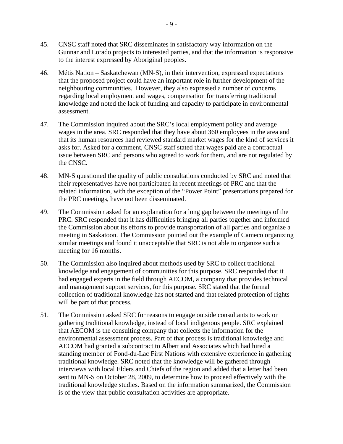- 45. CNSC staff noted that SRC disseminates in satisfactory way information on the Gunnar and Lorado projects to interested parties, and that the information is responsive to the interest expressed by Aboriginal peoples.
- 46. Métis Nation Saskatchewan (MN-S), in their intervention, expressed expectations that the proposed project could have an important role in further development of the neighbouring communities. However, they also expressed a number of concerns regarding local employment and wages, compensation for transferring traditional knowledge and noted the lack of funding and capacity to participate in environmental assessment.
- 47. The Commission inquired about the SRC's local employment policy and average wages in the area. SRC responded that they have about 360 employees in the area and that its human resources had reviewed standard market wages for the kind of services it asks for. Asked for a comment, CNSC staff stated that wages paid are a contractual issue between SRC and persons who agreed to work for them, and are not regulated by the CNSC.
- 48. MN-S questioned the quality of public consultations conducted by SRC and noted that their representatives have not participated in recent meetings of PRC and that the related information, with the exception of the "Power Point" presentations prepared for the PRC meetings, have not been disseminated.
- 49. The Commission asked for an explanation for a long gap between the meetings of the PRC. SRC responded that it has difficulties bringing all parties together and informed the Commission about its efforts to provide transportation of all parties and organize a meeting in Saskatoon. The Commission pointed out the example of Cameco organizing similar meetings and found it unacceptable that SRC is not able to organize such a meeting for 16 months.
- 50. The Commission also inquired about methods used by SRC to collect traditional knowledge and engagement of communities for this purpose. SRC responded that it had engaged experts in the field through AECOM, a company that provides technical and management support services, for this purpose. SRC stated that the formal collection of traditional knowledge has not started and that related protection of rights will be part of that process.
- 51. The Commission asked SRC for reasons to engage outside consultants to work on gathering traditional knowledge, instead of local indigenous people. SRC explained that AECOM is the consulting company that collects the information for the environmental assessment process. Part of that process is traditional knowledge and AECOM had granted a subcontract to Albert and Associates which had hired a standing member of Fond-du-Lac First Nations with extensive experience in gathering traditional knowledge. SRC noted that the knowledge will be gathered through interviews with local Elders and Chiefs of the region and added that a letter had been sent to MN-S on October 28, 2009, to determine how to proceed effectively with the traditional knowledge studies. Based on the information summarized, the Commission is of the view that public consultation activities are appropriate.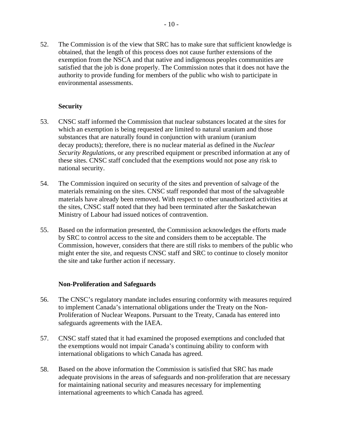<span id="page-12-0"></span>52. The Commission is of the view that SRC has to make sure that sufficient knowledge is obtained, that the length of this process does not cause further extensions of the exemption from the NSCA and that native and indigenous peoples communities are satisfied that the job is done properly. The Commission notes that it does not have the authority to provide funding for members of the public who wish to participate in environmental assessments.

#### **Security**

- 53. CNSC staff informed the Commission that nuclear substances located at the sites for which an exemption is being requested are limited to natural uranium and those substances that are naturally found in conjunction with uranium (uranium decay products); therefore, there is no nuclear material as defined in the *Nuclear Security Regulations*, or any prescribed equipment or prescribed information at any of these sites. CNSC staff concluded that the exemptions would not pose any risk to national security.
- 54. The Commission inquired on security of the sites and prevention of salvage of the materials remaining on the sites. CNSC staff responded that most of the salvageable materials have already been removed. With respect to other unauthorized activities at the sites, CNSC staff noted that they had been terminated after the Saskatchewan Ministry of Labour had issued notices of contravention.
- 55. Based on the information presented, the Commission acknowledges the efforts made by SRC to control access to the site and considers them to be acceptable. The Commission, however, considers that there are still risks to members of the public who might enter the site, and requests CNSC staff and SRC to continue to closely monitor the site and take further action if necessary.

#### **Non-Proliferation and Safeguards**

- 56. The CNSC's regulatory mandate includes ensuring conformity with measures required to implement Canada's international obligations under the Treaty on the Non-Proliferation of Nuclear Weapons. Pursuant to the Treaty, Canada has entered into safeguards agreements with the IAEA.
- 57. CNSC staff stated that it had examined the proposed exemptions and concluded that the exemptions would not impair Canada's continuing ability to conform with international obligations to which Canada has agreed.
- 58. Based on the above information the Commission is satisfied that SRC has made adequate provisions in the areas of safeguards and non-proliferation that are necessary for maintaining national security and measures necessary for implementing international agreements to which Canada has agreed.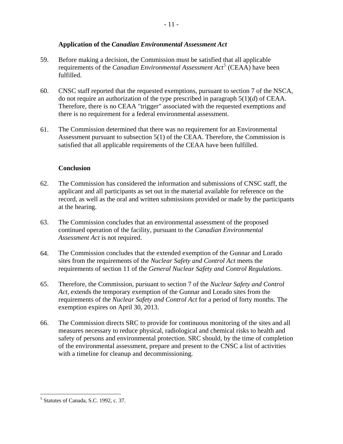#### **Application of the** *Canadian Environmental Assessment Act*

- <span id="page-13-0"></span>59. Before making a decision, the Commission must be satisfied that all applicable requirements of the *Canadian Environmental Assessment Act*<sup>[5](#page-13-1)</sup> (CEAA) have been fulfilled.
- 60. CNSC staff reported that the requested exemptions, pursuant to section 7 of the NSCA*,*  do not require an authorization of the type prescribed in paragraph 5(1)(*d*) of CEAA. Therefore, there is no CEAA "trigger" associated with the requested exemptions and there is no requirement for a federal environmental assessment.
- 61. The Commission determined that there was no requirement for an Environmental Assessment pursuant to subsection 5(1) of the CEAA. Therefore, the Commission is satisfied that all applicable requirements of the CEAA have been fulfilled.

#### **Conclusion**

- 62. The Commission has considered the information and submissions of CNSC staff, the applicant and all participants as set out in the material available for reference on the record, as well as the oral and written submissions provided or made by the participants at the hearing.
- 63. The Commission concludes that an environmental assessment of the proposed continued operation of the facility, pursuant to the *Canadian Environmental Assessment Act* is not required.
- 64. The Commission concludes that the extended exemption of the Gunnar and Lorado sites from the requirements of the *Nuclear Safety and Control Act* meets the requirements of section 11 of the *General Nuclear Safety and Control Regulations*.
- 65. Therefore, the Commission, pursuant to section 7 of the *Nuclear Safety and Control Act*, extends the temporary exemption of the Gunnar and Lorado sites from the requirements of the *Nuclear Safety and Control Act* for a period of forty months. The exemption expires on April 30, 2013.
- 66. The Commission directs SRC to provide for continuous monitoring of the sites and all measures necessary to reduce physical, radiological and chemical risks to health and safety of persons and environmental protection. SRC should, by the time of completion of the environmental assessment, prepare and present to the CNSC a list of activities with a timeline for cleanup and decommissioning.

 $\overline{a}$ 

<span id="page-13-1"></span><sup>5</sup> Statutes of Canada, S.C. 1992, c. 37.